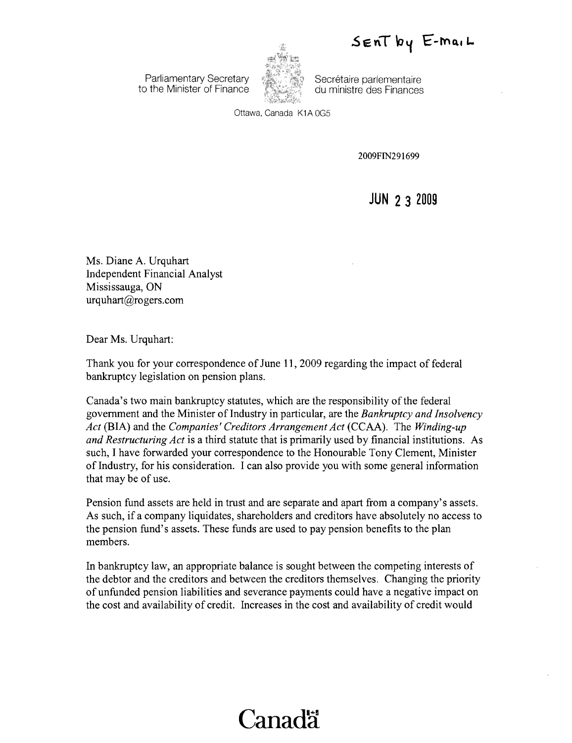$SenT$  by  $E$ -mail

**Parliamentary Secretary Secretary Secretary Secretare parlementaire**<br>Commister des Finances



to the Minister of Finance **duministre des Finances** 

Ottawa, Canada K1A OG5

2009FIN291699

**JUN 23 2009** 

Ms. Diane A. Urquhart Independent Financial Analyst Mississauga, ON urquhart@rogers.com

Dear Ms. Urquhart:

Thank you for your correspondence of June 11, 2009 regarding the impact of federal bankruptcy legislation on pension plans.

Canada's two main bankruptcy statutes, which are the responsibility of the federal government and the Minister ofIndustry in particular, are the *Bankruptcy and Insolvency Act* (BIA) and the *Companies' Creditors Arrangement Act* (CCAA). The *Winding-up and Restructuring Act* is a third statute that is primarily used by financial institutions. As such, I have forwarded your correspondence to the Honourable Tony Clement, Minister of Industry, for his consideration. I can also provide you with some general information that may be of use.

Pension fund assets are held in trust and are separate and apart from a company's assets. As such, if a company liquidates, shareholders and creditors have absolutely no access to the pension fund's assets. These funds are used to pay pension benefits to the plan members.

In bankruptcy law, an appropriate balance is sought between the competing interests of the debtor and the creditors and between the creditors themselves. Changing the priority of unfunded pension liabilities and severance payments could have a negative impact on the cost and availability of credit. Increases in the cost and availability of credit would

## **Canada**